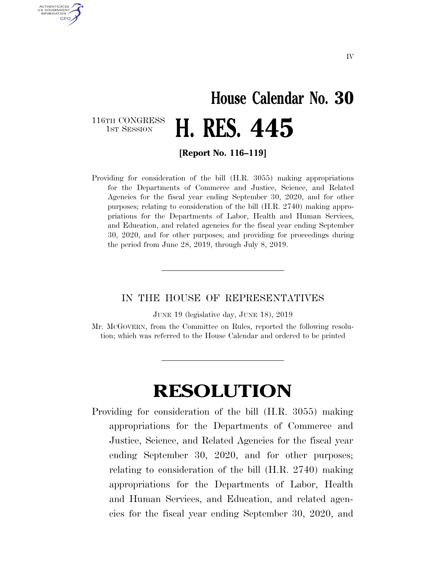## **House Calendar No. 30**  116TH CONGRESS<br>1st Session **H. RES. 445**

AUTHENTICATED U.S. GOVERNMENT **GPO** 

**[Report No. 116–119]** 

Providing for consideration of the bill (H.R. 3055) making appropriations for the Departments of Commerce and Justice, Science, and Related Agencies for the fiscal year ending September 30, 2020, and for other purposes; relating to consideration of the bill (H.R. 2740) making appropriations for the Departments of Labor, Health and Human Services, and Education, and related agencies for the fiscal year ending September 30, 2020, and for other purposes; and providing for proceedings during the period from June 28, 2019, through July 8, 2019.

## IN THE HOUSE OF REPRESENTATIVES

JUNE 19 (legislative day, JUNE 18), 2019

Mr. MCGOVERN, from the Committee on Rules, reported the following resolution; which was referred to the House Calendar and ordered to be printed

## **RESOLUTION**

Providing for consideration of the bill (H.R. 3055) making appropriations for the Departments of Commerce and Justice, Science, and Related Agencies for the fiscal year ending September 30, 2020, and for other purposes; relating to consideration of the bill (H.R. 2740) making appropriations for the Departments of Labor, Health and Human Services, and Education, and related agencies for the fiscal year ending September 30, 2020, and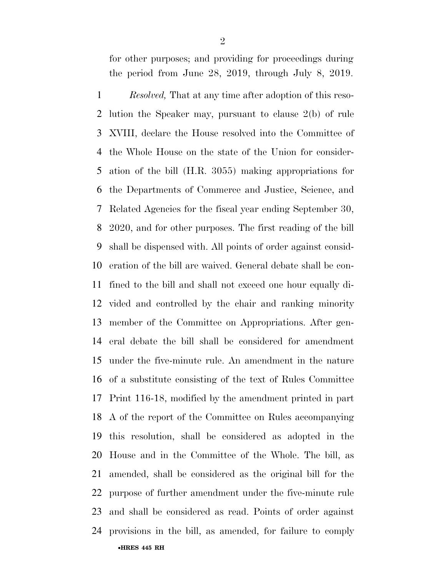for other purposes; and providing for proceedings during the period from June 28, 2019, through July 8, 2019.

•**HRES 445 RH**  *Resolved,* That at any time after adoption of this reso- lution the Speaker may, pursuant to clause 2(b) of rule XVIII, declare the House resolved into the Committee of the Whole House on the state of the Union for consider- ation of the bill (H.R. 3055) making appropriations for the Departments of Commerce and Justice, Science, and Related Agencies for the fiscal year ending September 30, 2020, and for other purposes. The first reading of the bill shall be dispensed with. All points of order against consid- eration of the bill are waived. General debate shall be con- fined to the bill and shall not exceed one hour equally di- vided and controlled by the chair and ranking minority member of the Committee on Appropriations. After gen- eral debate the bill shall be considered for amendment under the five-minute rule. An amendment in the nature of a substitute consisting of the text of Rules Committee Print 116-18, modified by the amendment printed in part A of the report of the Committee on Rules accompanying this resolution, shall be considered as adopted in the House and in the Committee of the Whole. The bill, as amended, shall be considered as the original bill for the purpose of further amendment under the five-minute rule and shall be considered as read. Points of order against provisions in the bill, as amended, for failure to comply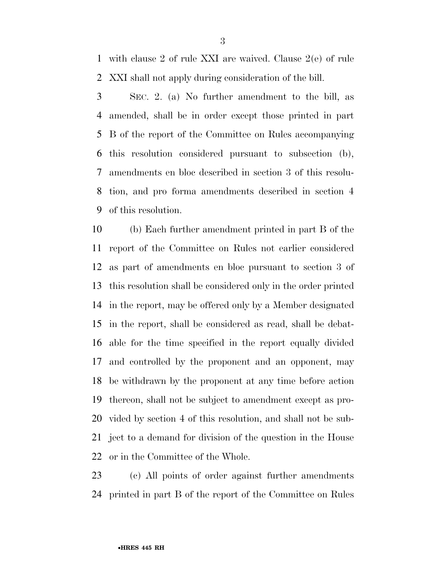with clause 2 of rule XXI are waived. Clause 2(e) of rule XXI shall not apply during consideration of the bill.

 SEC. 2. (a) No further amendment to the bill, as amended, shall be in order except those printed in part B of the report of the Committee on Rules accompanying this resolution considered pursuant to subsection (b), amendments en bloc described in section 3 of this resolu- tion, and pro forma amendments described in section 4 of this resolution.

 (b) Each further amendment printed in part B of the report of the Committee on Rules not earlier considered as part of amendments en bloc pursuant to section 3 of this resolution shall be considered only in the order printed in the report, may be offered only by a Member designated in the report, shall be considered as read, shall be debat- able for the time specified in the report equally divided and controlled by the proponent and an opponent, may be withdrawn by the proponent at any time before action thereon, shall not be subject to amendment except as pro- vided by section 4 of this resolution, and shall not be sub- ject to a demand for division of the question in the House or in the Committee of the Whole.

 (c) All points of order against further amendments printed in part B of the report of the Committee on Rules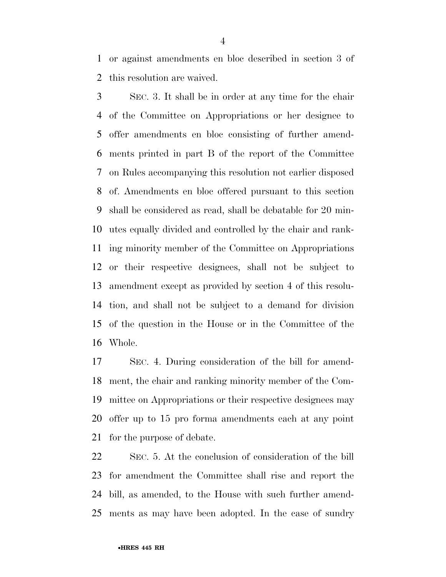or against amendments en bloc described in section 3 of this resolution are waived.

 SEC. 3. It shall be in order at any time for the chair of the Committee on Appropriations or her designee to offer amendments en bloc consisting of further amend- ments printed in part B of the report of the Committee on Rules accompanying this resolution not earlier disposed of. Amendments en bloc offered pursuant to this section shall be considered as read, shall be debatable for 20 min- utes equally divided and controlled by the chair and rank- ing minority member of the Committee on Appropriations or their respective designees, shall not be subject to amendment except as provided by section 4 of this resolu- tion, and shall not be subject to a demand for division of the question in the House or in the Committee of the Whole.

 SEC. 4. During consideration of the bill for amend- ment, the chair and ranking minority member of the Com- mittee on Appropriations or their respective designees may offer up to 15 pro forma amendments each at any point for the purpose of debate.

 SEC. 5. At the conclusion of consideration of the bill for amendment the Committee shall rise and report the bill, as amended, to the House with such further amend-ments as may have been adopted. In the case of sundry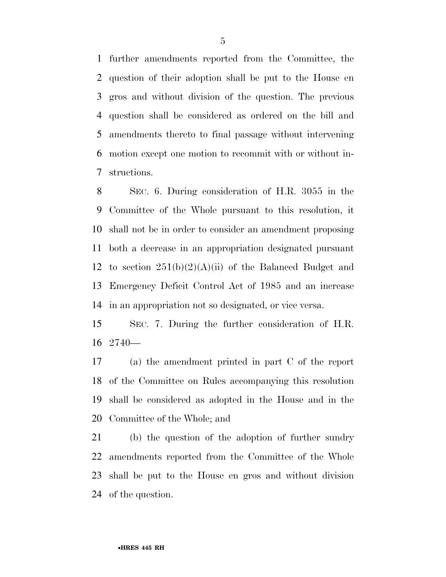further amendments reported from the Committee, the question of their adoption shall be put to the House en gros and without division of the question. The previous question shall be considered as ordered on the bill and amendments thereto to final passage without intervening motion except one motion to recommit with or without in-structions.

 SEC. 6. During consideration of H.R. 3055 in the Committee of the Whole pursuant to this resolution, it shall not be in order to consider an amendment proposing both a decrease in an appropriation designated pursuant 12 to section  $251(b)(2)(A)(ii)$  of the Balanced Budget and Emergency Deficit Control Act of 1985 and an increase in an appropriation not so designated, or vice versa.

 SEC. 7. During the further consideration of H.R. 2740—

 (a) the amendment printed in part C of the report of the Committee on Rules accompanying this resolution shall be considered as adopted in the House and in the Committee of the Whole; and

 (b) the question of the adoption of further sundry amendments reported from the Committee of the Whole shall be put to the House en gros and without division of the question.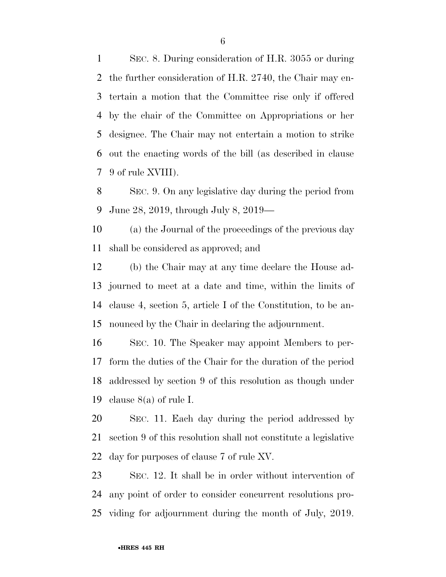SEC. 8. During consideration of H.R. 3055 or during the further consideration of H.R. 2740, the Chair may en- tertain a motion that the Committee rise only if offered by the chair of the Committee on Appropriations or her designee. The Chair may not entertain a motion to strike out the enacting words of the bill (as described in clause 9 of rule XVIII).

 SEC. 9. On any legislative day during the period from June 28, 2019, through July 8, 2019—

 (a) the Journal of the proceedings of the previous day shall be considered as approved; and

 (b) the Chair may at any time declare the House ad- journed to meet at a date and time, within the limits of clause 4, section 5, article I of the Constitution, to be an-nounced by the Chair in declaring the adjournment.

 SEC. 10. The Speaker may appoint Members to per- form the duties of the Chair for the duration of the period addressed by section 9 of this resolution as though under clause 8(a) of rule I.

 SEC. 11. Each day during the period addressed by section 9 of this resolution shall not constitute a legislative day for purposes of clause 7 of rule XV.

 SEC. 12. It shall be in order without intervention of any point of order to consider concurrent resolutions pro-viding for adjournment during the month of July, 2019.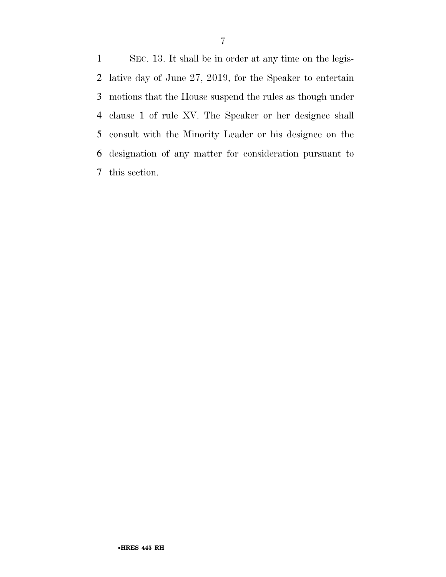SEC. 13. It shall be in order at any time on the legis- lative day of June 27, 2019, for the Speaker to entertain motions that the House suspend the rules as though under clause 1 of rule XV. The Speaker or her designee shall consult with the Minority Leader or his designee on the designation of any matter for consideration pursuant to this section.